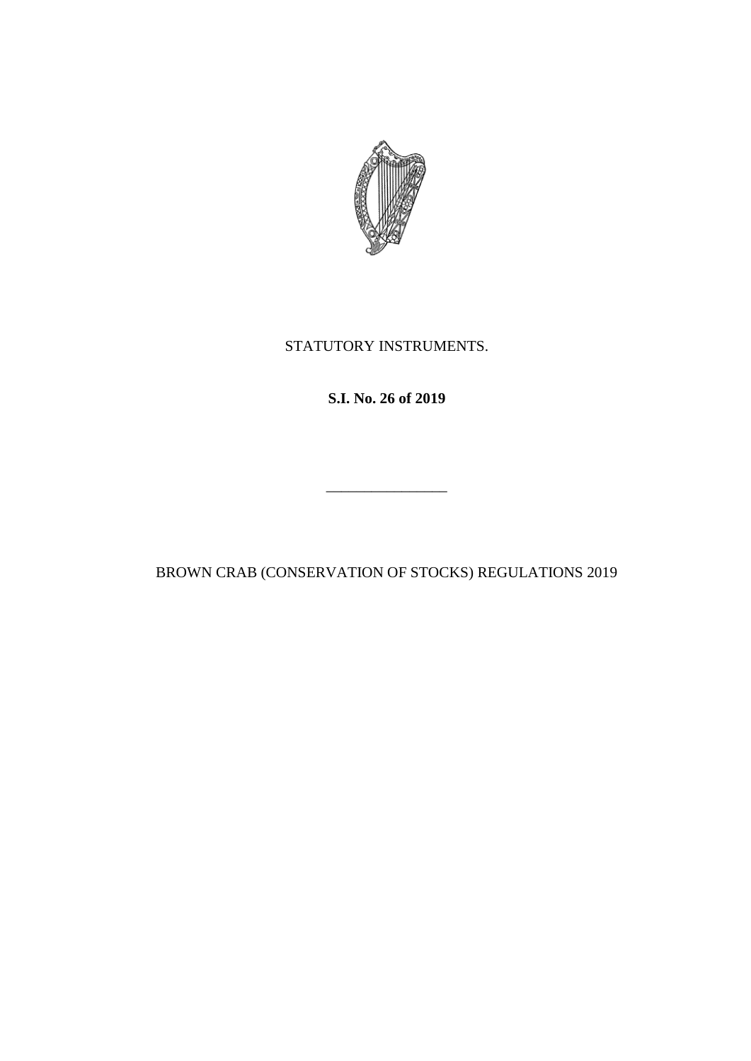

## STATUTORY INSTRUMENTS.

# **S.I. No. 26 of 2019**

\_\_\_\_\_\_\_\_\_\_\_\_\_\_\_\_

BROWN CRAB (CONSERVATION OF STOCKS) REGULATIONS 2019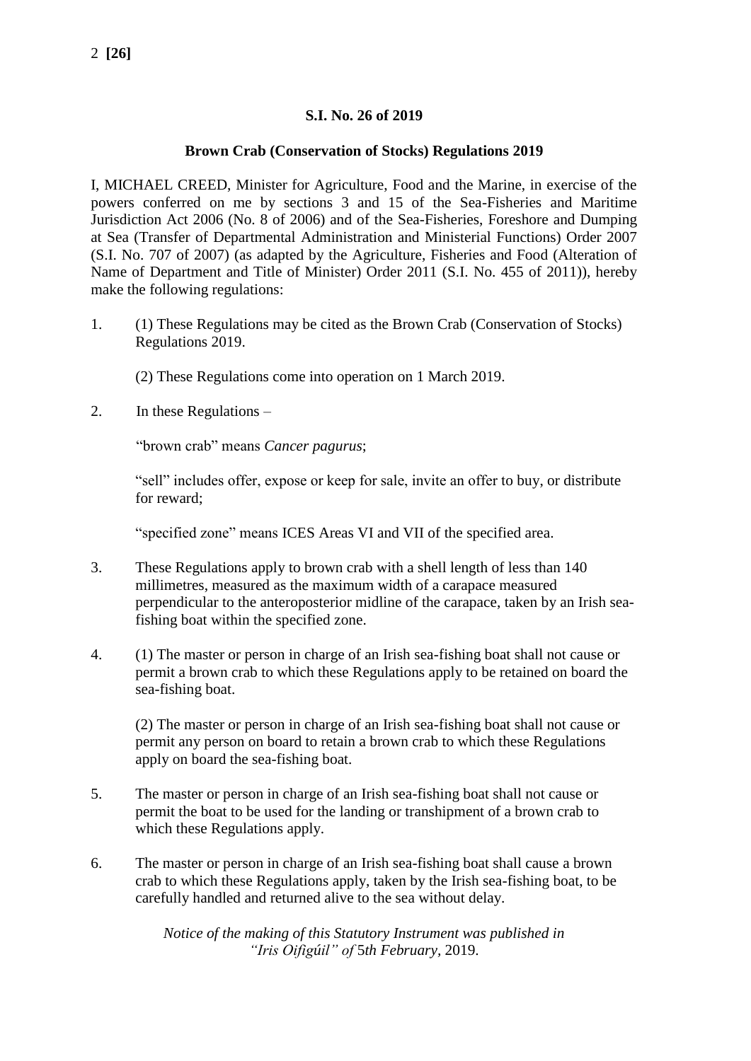### **S.I. No. 26 of 2019**

#### **Brown Crab (Conservation of Stocks) Regulations 2019**

I, MICHAEL CREED, Minister for Agriculture, Food and the Marine, in exercise of the powers conferred on me by sections 3 and 15 of the Sea-Fisheries and Maritime Jurisdiction Act 2006 (No. 8 of 2006) and of the Sea-Fisheries, Foreshore and Dumping at Sea (Transfer of Departmental Administration and Ministerial Functions) Order 2007 (S.I. No. 707 of 2007) (as adapted by the Agriculture, Fisheries and Food (Alteration of Name of Department and Title of Minister) Order 2011 (S.I. No. 455 of 2011)), hereby make the following regulations:

- 1. (1) These Regulations may be cited as the Brown Crab (Conservation of Stocks) Regulations 2019.
	- (2) These Regulations come into operation on 1 March 2019.
- 2. In these Regulations –

"brown crab" means *Cancer pagurus*;

"sell" includes offer, expose or keep for sale, invite an offer to buy, or distribute for reward;

"specified zone" means ICES Areas VI and VII of the specified area.

- 3. These Regulations apply to brown crab with a shell length of less than 140 millimetres, measured as the maximum width of a carapace measured perpendicular to the anteroposterior midline of the carapace, taken by an Irish seafishing boat within the specified zone.
- 4. (1) The master or person in charge of an Irish sea-fishing boat shall not cause or permit a brown crab to which these Regulations apply to be retained on board the sea-fishing boat.

(2) The master or person in charge of an Irish sea-fishing boat shall not cause or permit any person on board to retain a brown crab to which these Regulations apply on board the sea-fishing boat.

- 5. The master or person in charge of an Irish sea-fishing boat shall not cause or permit the boat to be used for the landing or transhipment of a brown crab to which these Regulations apply.
- 6. The master or person in charge of an Irish sea-fishing boat shall cause a brown crab to which these Regulations apply, taken by the Irish sea-fishing boat, to be carefully handled and returned alive to the sea without delay.

*Notice of the making of this Statutory Instrument was published in "Iris Oifigúil" of* 5*th February,* 2019.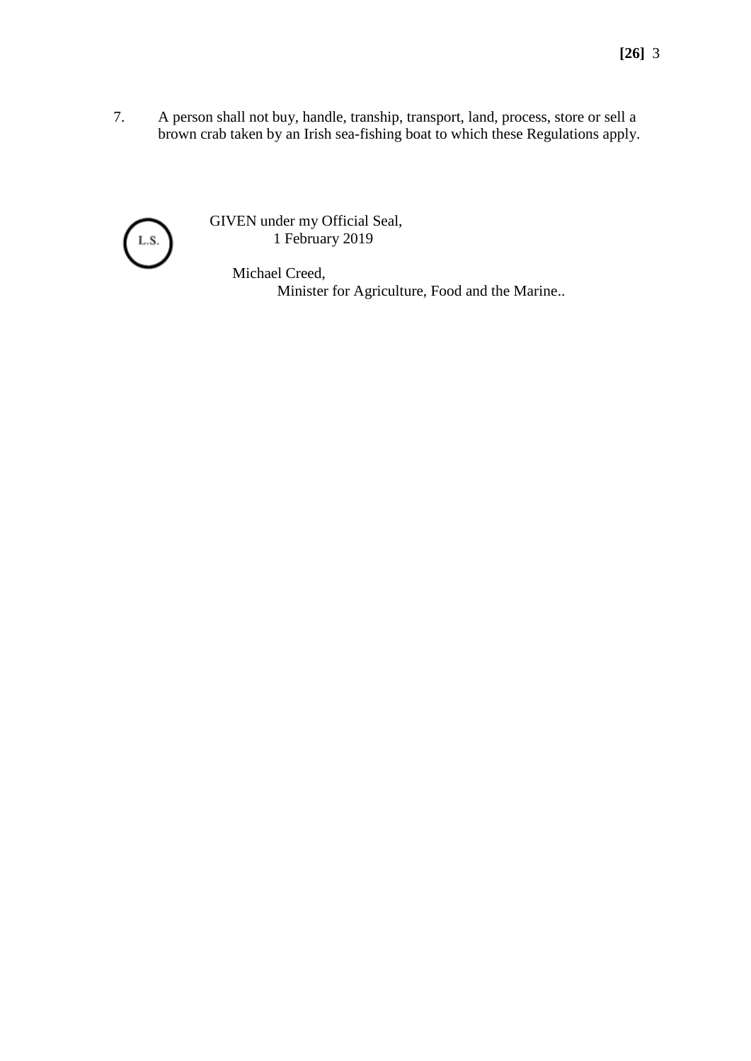7. A person shall not buy, handle, tranship, transport, land, process, store or sell a brown crab taken by an Irish sea-fishing boat to which these Regulations apply.



GIVEN under my Official Seal, 1 February 2019

> Michael Creed, Minister for Agriculture, Food and the Marine..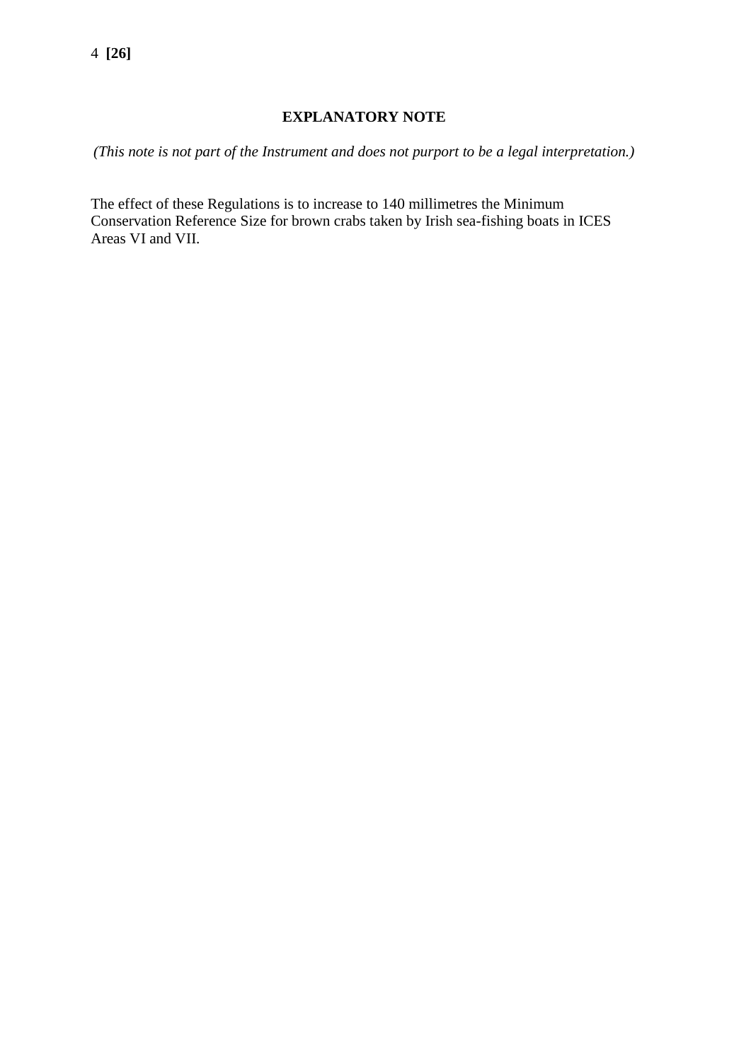### **EXPLANATORY NOTE**

*(This note is not part of the Instrument and does not purport to be a legal interpretation.)*

The effect of these Regulations is to increase to 140 millimetres the Minimum Conservation Reference Size for brown crabs taken by Irish sea-fishing boats in ICES Areas VI and VII.